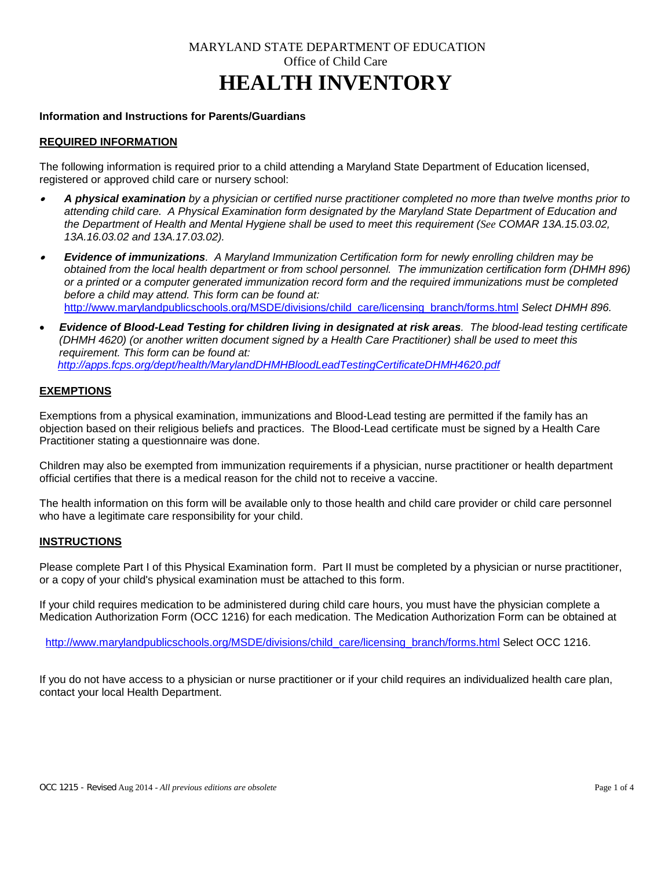# MARYLAND STATE DEPARTMENT OF EDUCATION Office of Child Care **HEALTH INVENTORY**

## **Information and Instructions for Parents/Guardians**

## **REQUIRED INFORMATION**

The following information is required prior to a child attending a Maryland State Department of Education licensed, registered or approved child care or nursery school:

- • *A physical examination by a physician or certified nurse practitioner completed no more than twelve months prior to attending child care. A Physical Examination form designated by the Maryland State Department of Education and the Department of Health and Mental Hygiene shall be used to meet this requirement (See COMAR 13A.15.03.02, 13A.16.03.02 and 13A.17.03.02).*
- •*Evidence of immunizations. A Maryland Immunization Certification form for newly enrolling children may be obtained from the local health department or from school personnel. The immunization certification form (DHMH 896) or a printed or a computer generated immunization record form and the required immunizations must be completed before a child may attend. This form can be found at:* [http://www.marylandpublicschools.org/MSDE/divisions/child\\_care/licensing\\_branch/forms.html](http://www.marylandpublicschools.org/MSDE/divisions/child_care/licensing_branch/forms.html) *Select DHMH 896.*
- *Evidence of Blood-Lead Testing for children living in designated at risk areas. The blood-lead testing certificate (DHMH 4620) (or another written document signed by a Health Care Practitioner) shall be used to meet this requirement. This form can be found at: <http://apps.fcps.org/dept/health/MarylandDHMHBloodLeadTestingCertificateDHMH4620.pdf>*

### **EXEMPTIONS**

Exemptions from a physical examination, immunizations and Blood-Lead testing are permitted if the family has an objection based on their religious beliefs and practices. The Blood-Lead certificate must be signed by a Health Care Practitioner stating a questionnaire was done.

Children may also be exempted from immunization requirements if a physician, nurse practitioner or health department official certifies that there is a medical reason for the child not to receive a vaccine.

The health information on this form will be available only to those health and child care provider or child care personnel who have a legitimate care responsibility for your child.

#### **INSTRUCTIONS**

Please complete Part I of this Physical Examination form. Part II must be completed by a physician or nurse practitioner, or a copy of your child's physical examination must be attached to this form.

If your child requires medication to be administered during child care hours, you must have the physician complete a Medication Authorization Form (OCC 1216) for each medication. The Medication Authorization Form can be obtained at

[http://www.marylandpublicschools.org/MSDE/divisions/child\\_care/licensing\\_branch/forms.html](http://www.marylandpublicschools.org/MSDE/divisions/child_care/licensing_branch/forms.html) Select OCC 1216.

If you do not have access to a physician or nurse practitioner or if your child requires an individualized health care plan, contact your local Health Department.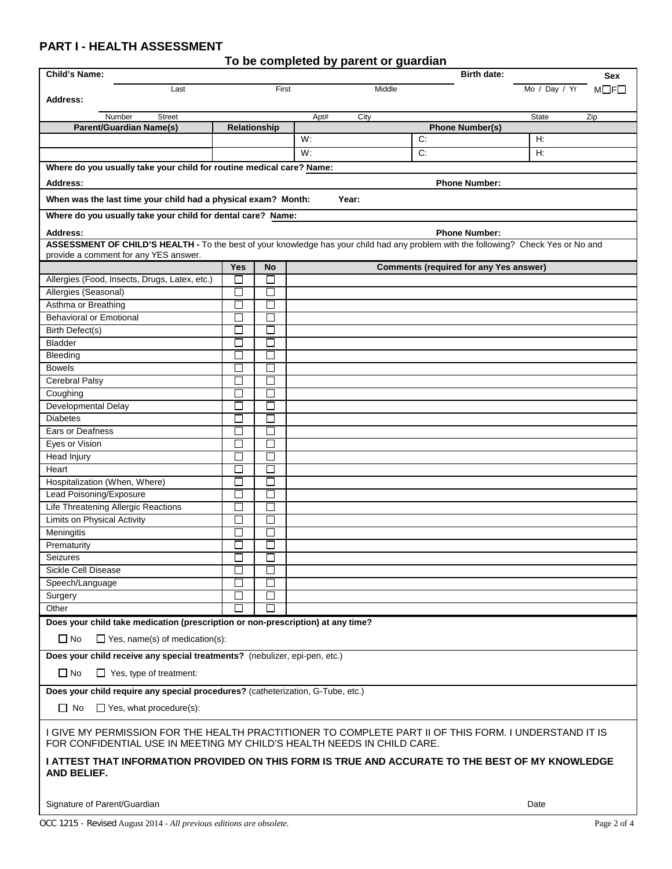## **PART I - HEALTH ASSESSMENT**

| <b>Child's Name:</b>                                                                                                                                                            | <b>Birth date:</b><br>Sex   |                          |              |  |                                               |               |                 |
|---------------------------------------------------------------------------------------------------------------------------------------------------------------------------------|-----------------------------|--------------------------|--------------|--|-----------------------------------------------|---------------|-----------------|
| Last                                                                                                                                                                            | First                       |                          | Middle       |  |                                               | Mo / Day / Yr | $M \Box F \Box$ |
| <b>Address:</b>                                                                                                                                                                 |                             |                          |              |  |                                               |               |                 |
| Number<br><b>Street</b>                                                                                                                                                         |                             |                          | Apt#<br>City |  |                                               | State         | Zip             |
| <b>Parent/Guardian Name(s)</b>                                                                                                                                                  | Relationship                |                          |              |  | <b>Phone Number(s)</b>                        |               |                 |
|                                                                                                                                                                                 |                             |                          | W:           |  | C:                                            | H:            |                 |
|                                                                                                                                                                                 |                             |                          | W:           |  | C:                                            | H:            |                 |
| Where do you usually take your child for routine medical care? Name:                                                                                                            |                             |                          |              |  |                                               |               |                 |
| <b>Address:</b>                                                                                                                                                                 |                             |                          |              |  | <b>Phone Number:</b>                          |               |                 |
|                                                                                                                                                                                 |                             |                          |              |  |                                               |               |                 |
| When was the last time your child had a physical exam? Month:                                                                                                                   |                             |                          | Year:        |  |                                               |               |                 |
| Where do you usually take your child for dental care? Name:                                                                                                                     |                             |                          |              |  |                                               |               |                 |
| Address:                                                                                                                                                                        |                             |                          |              |  | <b>Phone Number:</b>                          |               |                 |
| ASSESSMENT OF CHILD'S HEALTH - To the best of your knowledge has your child had any problem with the following? Check Yes or No and                                             |                             |                          |              |  |                                               |               |                 |
| provide a comment for any YES answer.                                                                                                                                           |                             |                          |              |  |                                               |               |                 |
|                                                                                                                                                                                 | <b>Yes</b>                  | <b>No</b>                |              |  | <b>Comments (required for any Yes answer)</b> |               |                 |
| Allergies (Food, Insects, Drugs, Latex, etc.)                                                                                                                                   |                             | $\overline{\phantom{a}}$ |              |  |                                               |               |                 |
| Allergies (Seasonal)                                                                                                                                                            |                             | □                        |              |  |                                               |               |                 |
| Asthma or Breathing                                                                                                                                                             |                             |                          |              |  |                                               |               |                 |
| <b>Behavioral or Emotional</b>                                                                                                                                                  | п                           | $\Box$                   |              |  |                                               |               |                 |
| <b>Birth Defect(s)</b>                                                                                                                                                          | $\Box$                      | □                        |              |  |                                               |               |                 |
| Bladder                                                                                                                                                                         | J.                          | □                        |              |  |                                               |               |                 |
| Bleeding                                                                                                                                                                        |                             | $\overline{\phantom{a}}$ |              |  |                                               |               |                 |
| <b>Bowels</b>                                                                                                                                                                   | $\mathcal{L}_{\mathcal{A}}$ | $\Box$                   |              |  |                                               |               |                 |
| Cerebral Palsy                                                                                                                                                                  | П                           | П                        |              |  |                                               |               |                 |
| Coughing                                                                                                                                                                        |                             | П                        |              |  |                                               |               |                 |
| <b>Developmental Delay</b>                                                                                                                                                      | $\Box$                      | $\Box$                   |              |  |                                               |               |                 |
| <b>Diabetes</b>                                                                                                                                                                 |                             | $\Box$                   |              |  |                                               |               |                 |
| Ears or Deafness                                                                                                                                                                | $\mathcal{A}$               | $\Box$                   |              |  |                                               |               |                 |
| Eyes or Vision                                                                                                                                                                  | $\overline{\phantom{a}}$    | $\Box$                   |              |  |                                               |               |                 |
| Head Injury                                                                                                                                                                     |                             |                          |              |  |                                               |               |                 |
| Heart                                                                                                                                                                           |                             | П                        |              |  |                                               |               |                 |
| Hospitalization (When, Where)                                                                                                                                                   | П                           | □                        |              |  |                                               |               |                 |
| Lead Poisoning/Exposure                                                                                                                                                         | J.                          | □                        |              |  |                                               |               |                 |
| Life Threatening Allergic Reactions                                                                                                                                             | ┚                           | $\Box$                   |              |  |                                               |               |                 |
| <b>Limits on Physical Activity</b>                                                                                                                                              | П                           | □                        |              |  |                                               |               |                 |
| <b>Meningitis</b>                                                                                                                                                               |                             |                          |              |  |                                               |               |                 |
| Prematurity                                                                                                                                                                     |                             |                          |              |  |                                               |               |                 |
| Seizures                                                                                                                                                                        | ٦                           | П                        |              |  |                                               |               |                 |
| Sickle Cell Disease                                                                                                                                                             | $\Box$                      | П                        |              |  |                                               |               |                 |
| Speech/Language                                                                                                                                                                 | ⊔                           | ⊔                        |              |  |                                               |               |                 |
| Surgery                                                                                                                                                                         | $\sim$                      | $\Box$                   |              |  |                                               |               |                 |
| Other                                                                                                                                                                           |                             | $\Box$                   |              |  |                                               |               |                 |
| Does your child take medication (prescription or non-prescription) at any time?                                                                                                 |                             |                          |              |  |                                               |               |                 |
| $\Box$ No<br>$\Box$ Yes, name(s) of medication(s):                                                                                                                              |                             |                          |              |  |                                               |               |                 |
| Does your child receive any special treatments? (nebulizer, epi-pen, etc.)                                                                                                      |                             |                          |              |  |                                               |               |                 |
|                                                                                                                                                                                 |                             |                          |              |  |                                               |               |                 |
| $\Box$ No<br>$\Box$ Yes, type of treatment:                                                                                                                                     |                             |                          |              |  |                                               |               |                 |
| Does your child require any special procedures? (catheterization, G-Tube, etc.)                                                                                                 |                             |                          |              |  |                                               |               |                 |
| $\Box$ Yes, what procedure(s):<br>$\Box$ No                                                                                                                                     |                             |                          |              |  |                                               |               |                 |
|                                                                                                                                                                                 |                             |                          |              |  |                                               |               |                 |
| I GIVE MY PERMISSION FOR THE HEALTH PRACTITIONER TO COMPLETE PART II OF THIS FORM. I UNDERSTAND IT IS<br>FOR CONFIDENTIAL USE IN MEETING MY CHILD'S HEALTH NEEDS IN CHILD CARE. |                             |                          |              |  |                                               |               |                 |
| I ATTEST THAT INFORMATION PROVIDED ON THIS FORM IS TRUE AND ACCURATE TO THE BEST OF MY KNOWLEDGE<br>AND BELIEF.                                                                 |                             |                          |              |  |                                               |               |                 |
|                                                                                                                                                                                 |                             |                          |              |  |                                               |               |                 |
| Signature of Parent/Guardian                                                                                                                                                    |                             |                          |              |  |                                               | Date          |                 |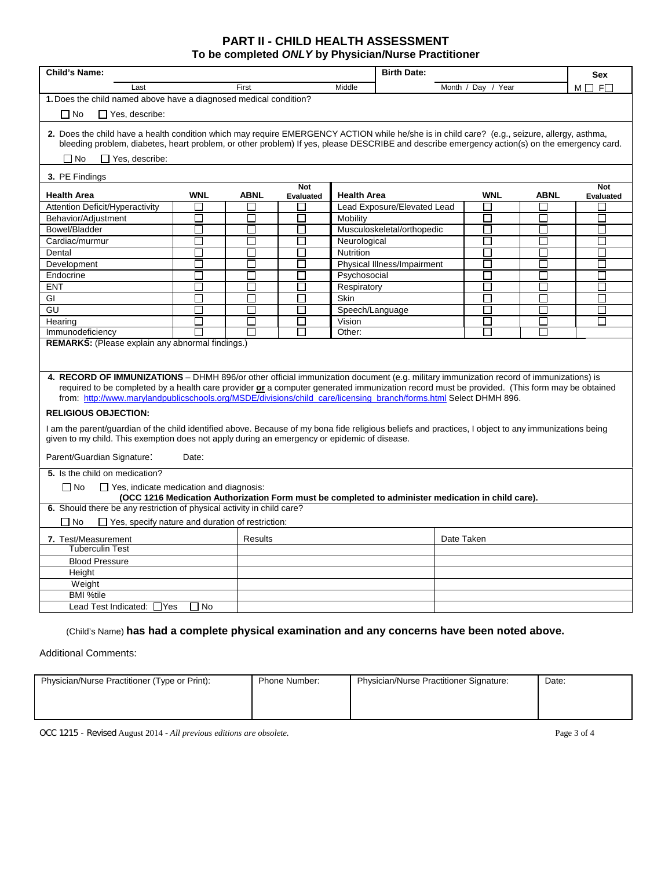## **PART II - CHILD HEALTH ASSESSMENT To be completed** *ONLY* **by Physician/Nurse Practitioner**

| <b>Child's Name:</b>                                                                                                                                                                                                                                                                                                                                                                                      | <b>Birth Date:</b>    |             |                             |                    |                             | <b>Sex</b>         |             |                   |
|-----------------------------------------------------------------------------------------------------------------------------------------------------------------------------------------------------------------------------------------------------------------------------------------------------------------------------------------------------------------------------------------------------------|-----------------------|-------------|-----------------------------|--------------------|-----------------------------|--------------------|-------------|-------------------|
| Last                                                                                                                                                                                                                                                                                                                                                                                                      |                       | First       |                             | Middle             |                             | Month / Day / Year |             | $M \Box$ F $\Box$ |
| 1. Does the child named above have a diagnosed medical condition?                                                                                                                                                                                                                                                                                                                                         |                       |             |                             |                    |                             |                    |             |                   |
| $\Box$ No<br>$\Box$ Yes, describe:                                                                                                                                                                                                                                                                                                                                                                        |                       |             |                             |                    |                             |                    |             |                   |
| 2. Does the child have a health condition which may require EMERGENCY ACTION while he/she is in child care? (e.g., seizure, allergy, asthma,<br>bleeding problem, diabetes, heart problem, or other problem) If yes, please DESCRIBE and describe emergency action(s) on the emergency card.<br>$\Box$ Yes, describe:<br>$\Box$ No                                                                        |                       |             |                             |                    |                             |                    |             |                   |
| 3. PE Findings                                                                                                                                                                                                                                                                                                                                                                                            |                       |             | <b>Not</b>                  |                    |                             |                    |             | <b>Not</b>        |
| <b>Health Area</b>                                                                                                                                                                                                                                                                                                                                                                                        | <b>WNL</b>            | <b>ABNL</b> | Evaluated                   | <b>Health Area</b> |                             | <b>WNL</b>         | <b>ABNL</b> | <b>Evaluated</b>  |
| Attention Deficit/Hyperactivity                                                                                                                                                                                                                                                                                                                                                                           |                       |             |                             |                    | Lead Exposure/Elevated Lead | П                  |             |                   |
| Behavior/Adjustment                                                                                                                                                                                                                                                                                                                                                                                       | П                     | П           | П                           | Mobility           |                             | П                  | П           | П                 |
| Bowel/Bladder                                                                                                                                                                                                                                                                                                                                                                                             | П                     | П           | П                           |                    | Musculoskeletal/orthopedic  | Π                  | П           | П                 |
| Cardiac/murmur                                                                                                                                                                                                                                                                                                                                                                                            | П                     | П           | П                           | Neurological       |                             | П                  | П           | П                 |
| Dental                                                                                                                                                                                                                                                                                                                                                                                                    | Π                     | П           | $\mathcal{L}_{\mathcal{A}}$ | <b>Nutrition</b>   |                             | π                  | Π           | П                 |
| Development                                                                                                                                                                                                                                                                                                                                                                                               |                       | П           |                             |                    | Physical Illness/Impairment | П                  | ×           |                   |
| Endocrine                                                                                                                                                                                                                                                                                                                                                                                                 |                       |             |                             | Psychosocial       |                             |                    |             |                   |
| <b>ENT</b>                                                                                                                                                                                                                                                                                                                                                                                                |                       |             |                             | Respiratory        |                             | L                  |             |                   |
| GI                                                                                                                                                                                                                                                                                                                                                                                                        |                       | П           | l.                          | <b>Skin</b>        |                             | П                  | J.          |                   |
| GU                                                                                                                                                                                                                                                                                                                                                                                                        |                       |             |                             | Speech/Language    |                             | $\mathbf{L}$       |             |                   |
| Hearing                                                                                                                                                                                                                                                                                                                                                                                                   |                       | П           |                             | Vision             |                             | П                  | П           |                   |
| Immunodeficiency                                                                                                                                                                                                                                                                                                                                                                                          |                       |             |                             | Other:             |                             |                    |             |                   |
| 4. RECORD OF IMMUNIZATIONS – DHMH 896/or other official immunization document (e.g. military immunization record of immunizations) is<br>required to be completed by a health care provider or a computer generated immunization record must be provided. (This form may be obtained<br>from: http://www.marylandpublicschools.org/MSDE/divisions/child care/licensing branch/forms.html Select DHMH 896. |                       |             |                             |                    |                             |                    |             |                   |
| <b>RELIGIOUS OBJECTION:</b>                                                                                                                                                                                                                                                                                                                                                                               |                       |             |                             |                    |                             |                    |             |                   |
| I am the parent/guardian of the child identified above. Because of my bona fide religious beliefs and practices, I object to any immunizations being<br>given to my child. This exemption does not apply during an emergency or epidemic of disease.                                                                                                                                                      |                       |             |                             |                    |                             |                    |             |                   |
| Parent/Guardian Signature:<br>Date:                                                                                                                                                                                                                                                                                                                                                                       |                       |             |                             |                    |                             |                    |             |                   |
| 5. Is the child on medication?                                                                                                                                                                                                                                                                                                                                                                            |                       |             |                             |                    |                             |                    |             |                   |
| $\Box$ Yes, indicate medication and diagnosis:<br>$\Box$ No<br>(OCC 1216 Medication Authorization Form must be completed to administer medication in child care).                                                                                                                                                                                                                                         |                       |             |                             |                    |                             |                    |             |                   |
| 6. Should there be any restriction of physical activity in child care?                                                                                                                                                                                                                                                                                                                                    |                       |             |                             |                    |                             |                    |             |                   |
| $\Box$ Yes, specify nature and duration of restriction:<br>$\Box$ No                                                                                                                                                                                                                                                                                                                                      |                       |             |                             |                    |                             |                    |             |                   |
| 7. Test/Measurement                                                                                                                                                                                                                                                                                                                                                                                       | Date Taken<br>Results |             |                             |                    |                             |                    |             |                   |
| <b>Tuberculin Test</b>                                                                                                                                                                                                                                                                                                                                                                                    |                       |             |                             |                    |                             |                    |             |                   |
| <b>Blood Pressure</b>                                                                                                                                                                                                                                                                                                                                                                                     |                       |             |                             |                    |                             |                    |             |                   |
| Height                                                                                                                                                                                                                                                                                                                                                                                                    |                       |             |                             |                    |                             |                    |             |                   |
| Weight                                                                                                                                                                                                                                                                                                                                                                                                    |                       |             |                             |                    |                             |                    |             |                   |
| <b>BMI %tile</b>                                                                                                                                                                                                                                                                                                                                                                                          |                       |             |                             |                    |                             |                    |             |                   |
| Lead Test Indicated: □ Yes<br>□ No                                                                                                                                                                                                                                                                                                                                                                        |                       |             |                             |                    |                             |                    |             |                   |
|                                                                                                                                                                                                                                                                                                                                                                                                           |                       |             |                             |                    |                             |                    |             |                   |

(Child's Name) **has had a complete physical examination and any concerns have been noted above.**

Additional Comments:

| Physician/Nurse Practitioner (Type or Print): | Phone Number: | Physician/Nurse Practitioner Signature: | Date: |
|-----------------------------------------------|---------------|-----------------------------------------|-------|
|                                               |               |                                         |       |
|                                               |               |                                         |       |

OCC 1215 - Revised August 2014 - *All previous editions are obsolete.* Page 3 of 4